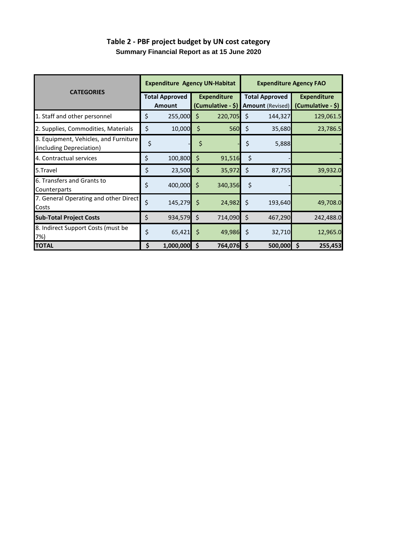| <b>CATEGORIES</b>                                                 |    | <b>Expenditure Agency UN-Habitat</b>   |         |                                          | <b>Expenditure Agency FAO</b> |                                                  |                                         |  |
|-------------------------------------------------------------------|----|----------------------------------------|---------|------------------------------------------|-------------------------------|--------------------------------------------------|-----------------------------------------|--|
|                                                                   |    | <b>Total Approved</b><br><b>Amount</b> |         | <b>Expenditure</b><br>$(Cumulative - $)$ |                               | <b>Total Approved</b><br><b>Amount (Revised)</b> | <b>Expenditure</b><br>(Cumulative - \$) |  |
| 1. Staff and other personnel                                      | \$ | $255,000$ \$                           |         | 220,705                                  | \$.                           | 144,327                                          | 129,061.5                               |  |
| 2. Supplies, Commodities, Materials                               | \$ | 10,000                                 | $\zeta$ | <b>560</b>                               | \$                            | 35,680                                           | 23,786.5                                |  |
| 3. Equipment, Vehicles, and Furniture<br>(including Depreciation) | \$ |                                        | Ş       |                                          | \$                            | 5,888                                            |                                         |  |
| 4. Contractual services                                           | \$ | 100,800 \$                             |         | 91,516                                   | \$                            |                                                  |                                         |  |
| 5.Travel                                                          | \$ | $23,500$ \$                            |         | 35,972                                   | \$                            | 87,755                                           | 39,932.0                                |  |
| 6. Transfers and Grants to<br>Counterparts                        | \$ | $400,000$ \$                           |         | 340,356                                  | \$                            |                                                  |                                         |  |
| 7. General Operating and other Direct<br>Costs                    | \$ | $145,279$ \$                           |         | 24,982                                   | \$                            | 193,640                                          | 49,708.0                                |  |
| <b>Sub-Total Project Costs</b>                                    | \$ | $934,579$ \$                           |         | 714,090                                  | -Ś                            | 467,290                                          | 242,488.0                               |  |
| 8. Indirect Support Costs (must be<br>7%)                         | \$ | $65,421$ \$                            |         | 49,986                                   | -\$                           | 32,710                                           | 12,965.0                                |  |
| <b>TOTAL</b>                                                      | \$ | $1,000,000$ \$                         |         | 764,076 \$                               |                               | 500,000                                          | Ŝ.<br>255,453                           |  |

## **Table 2 - PBF project budget by UN cost category Summary Financial Report as at 15 June 2020**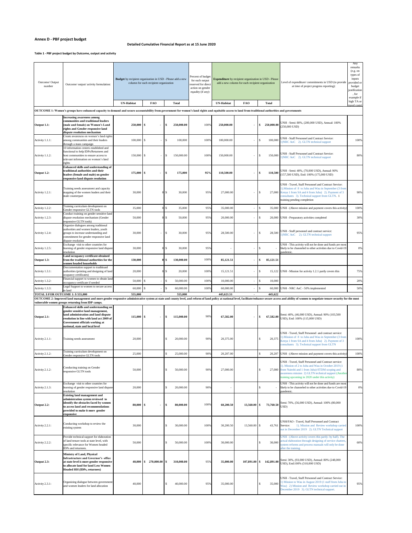## **Annex D - PBF project budget**

## **Table 1 - PBF project budget by Outcome, output and activity**

| Outcome/ Output<br>number         | Outcome/ output/ activity formulation:                                                                                                                                                                                                     | Budget by recipient organization in USD - Please add a new<br>column for each recipient organization |                 |                         | Percent of budget<br>for each output<br>reserved for direct<br>action on gender<br>eqaulity (if any): | <b>Expenditure</b> by recipient organization in USD - Please<br>add a new column for each recipient organization |                 |                | Level of expenditure/ commitments in USD (to provide<br>at time of project progress reporting):                                                                                                                                                                               | Any<br>remarks<br>(e.g. on<br>types of<br>inputs<br>provided or<br>budget<br>justification<br>, for<br>example if |
|-----------------------------------|--------------------------------------------------------------------------------------------------------------------------------------------------------------------------------------------------------------------------------------------|------------------------------------------------------------------------------------------------------|-----------------|-------------------------|-------------------------------------------------------------------------------------------------------|------------------------------------------------------------------------------------------------------------------|-----------------|----------------|-------------------------------------------------------------------------------------------------------------------------------------------------------------------------------------------------------------------------------------------------------------------------------|-------------------------------------------------------------------------------------------------------------------|
|                                   |                                                                                                                                                                                                                                            | <b>UN-Habitat</b>                                                                                    | <b>FAO</b>      | <b>Total</b>            |                                                                                                       | <b>UN-Habitat</b>                                                                                                | <b>FAO</b>      | <b>Total</b>   |                                                                                                                                                                                                                                                                               | high TA or<br>travel costs)                                                                                       |
|                                   | OUTCOME 1: Women's groups have enhanced capacity to demand and secure accountability from government for women's land rights and equitable access to land from traditional authorities and governments                                     |                                                                                                      |                 |                         |                                                                                                       |                                                                                                                  |                 |                |                                                                                                                                                                                                                                                                               |                                                                                                                   |
| Output 1.1:                       | <b>Increasing awareness among</b><br>communities and traditional leaders<br>(male and female) on Women's Land<br>rights and Gender responsive land<br>dispute resolution mechanism                                                         | $250,000$ \ \\$                                                                                      |                 | 250,000.00<br>-S        | 100%                                                                                                  | 250,000.00                                                                                                       |                 | 250,000.00     | UNH - Semi: 80%, (200,000 USD), Annual: 100%<br>$(250,000$ USD)                                                                                                                                                                                                               |                                                                                                                   |
| Activity 1.1.1:                   | Create awareness on women's land rights<br>among communities and their leaders<br>through a mass campaign                                                                                                                                  | $100,000$ \$                                                                                         |                 | 100,000                 | 100%                                                                                                  | 100,000.00                                                                                                       |                 | 100,000        | UNH - Staff Personnel and Contract Service:<br>1) NRC AoC 2). GLTN technical support                                                                                                                                                                                          | 100%                                                                                                              |
| Activity 1.1.2:                   | 10 information centers established and<br>functional to help IDPs/Returnees and<br>host communities to ensure access to<br>relevant information on women's land<br>rights                                                                  | $150,000$ \$                                                                                         |                 | 150,000.00<br>-S        | 100%                                                                                                  | 150,000.00                                                                                                       |                 | 150,000<br>l S | UNH - Staff Personnel and Contract Service:<br>1) NRC AoC 2). GLTN technical support                                                                                                                                                                                          | 80%                                                                                                               |
| Output 1.2:                       | <b>Enhanced skills and understanding of</b><br>traditional authorities and their<br>leaders (female and male) on gender<br>responsive land dispute resolution                                                                              | $175,000$ \$                                                                                         |                 | 175,000                 | 95%                                                                                                   | 110,500.00                                                                                                       | ж.              | 110,500        | UNH - Semi: 40%, (70,000 USD), Annual: 90%<br>(157,500 USD), End: 100% (175,000 USD)                                                                                                                                                                                          |                                                                                                                   |
| Activity 1.2.1:                   | Training needs assessment and capacity<br>mapping of the women leaders and their<br>male counterpart                                                                                                                                       | 30,000                                                                                               |                 | 30,000                  | 95%                                                                                                   | 27,000.00                                                                                                        |                 | - S            | UNH - Travel, Staff Personnel and Contract Service:<br>1). Mission of 8 to Juba and Wau in September (3 from<br>27,000 Kenya 1 from SA and 4 from Juba) 2). Payment of 3<br>consultants 3). Technical support from GLTN. 1<br>training pending completion                     | 90%                                                                                                               |
| Activity 1.2.2:                   | Training curriculum development on<br>Gender responsive GLTN tools                                                                                                                                                                         | 35,000                                                                                               |                 | 35,000<br>$0 \text{ s}$ | 95%                                                                                                   | 35,000.00                                                                                                        |                 | 35,000         | UNH - (Above mission and payment covers this activity)                                                                                                                                                                                                                        | 100%                                                                                                              |
| Activity 1.2.3:                   | Conduct training on gender sensitive land<br>dispute resolution mechanism (Gender<br>responsive GLTN tools)                                                                                                                                | 50,000                                                                                               |                 | 50,000                  | 95%                                                                                                   | 20,000.00                                                                                                        |                 | 20,000         | UNH - Preparatory activities completed                                                                                                                                                                                                                                        | 30%                                                                                                               |
| Activity 1.2.4:                   | Organize dialogues among traditional<br>authorities and women leaders, youth<br>groups to increase understanding and<br>commitment for gender responsive land<br>dispute resolution                                                        | 30,000                                                                                               |                 | 30,000<br>-S            | 95%                                                                                                   | 28,500.00                                                                                                        |                 | 28,500<br>- S  | UNH - Staff personnel and contract service:<br>1) NRC AoC 2). GLTN technical support                                                                                                                                                                                          | 95%                                                                                                               |
| Activity 1.2.5:                   | Exchange visit to other countries for<br>learning of gender responsive land dispute<br>resolution                                                                                                                                          | 30,000                                                                                               |                 | 30,000                  | 95%                                                                                                   |                                                                                                                  |                 |                | UNH - This activity will not be done and funds are most<br>likely to be channeled to other activities due to Covid-19<br>pandemic.                                                                                                                                            | 0%                                                                                                                |
| Output 1.3:                       | Land occupancy certificate obtained<br>from the traditional authorities for the<br>women headed households<br>Doccumentation support to traditioanl                                                                                        | 130,000                                                                                              |                 | 130,000.00<br>01S       | 100%                                                                                                  | 85,121.51                                                                                                        |                 | 85,121.51      |                                                                                                                                                                                                                                                                               |                                                                                                                   |
| Activity 1.3.1:                   | authorities (printing and designing of land<br>ocupancy certificates)<br>Financial support to women to obtain land                                                                                                                         | 20,000                                                                                               |                 | 20,000                  | 100%                                                                                                  | 15,121.51                                                                                                        |                 | 15,122         | UNH - Mission for activity 1.2.1 partly covers this                                                                                                                                                                                                                           | 75%                                                                                                               |
| Activity 1.3.2:                   | occupancy certificate if needed                                                                                                                                                                                                            |                                                                                                      |                 | 50,000.00<br>-S         | 100%                                                                                                  | 10,000.00                                                                                                        |                 | 10,000         |                                                                                                                                                                                                                                                                               | 20%                                                                                                               |
| Activity 1.3.3:                   | Legal Support to women to secure access<br>to land                                                                                                                                                                                         |                                                                                                      |                 | 60,000.00               | 100%                                                                                                  | 60,000.00                                                                                                        |                 | 60,000         | UNH - NRC AoC - 50% implemented                                                                                                                                                                                                                                               | 50%                                                                                                               |
| TOTAL \$ FOR OUTCOME 1: \$555,000 |                                                                                                                                                                                                                                            | 555,000                                                                                              |                 | 555,000                 |                                                                                                       | 445,621.51                                                                                                       |                 | 445,622        |                                                                                                                                                                                                                                                                               |                                                                                                                   |
|                                   | vulnerable women groups returning from IDP camps.                                                                                                                                                                                          |                                                                                                      |                 |                         |                                                                                                       |                                                                                                                  |                 |                | OUTCOME 2: Improved land management and more gender responsive administrative system at state and county level, and reform of land policy at national level, facilitate/enhance secure access and ability of women to negotiat                                                |                                                                                                                   |
| Output 2.1:                       | <b>Enhanced skills and understanding on</b><br>gender sensitive land management,<br>land administration and land dispute<br>resolution in line with land act 2009 of<br>Government officials working at<br>national, state and local level | $115,000$ \ \$                                                                                       |                 | 115,000.00<br>-SS       | 90%                                                                                                   | 67,582.00                                                                                                        | $\sim$          | 67,582.00      | Semi: 40%, (46,000 USD), Annual: 90% (103,500<br>USD), End: 100% (115,000 USD)                                                                                                                                                                                                |                                                                                                                   |
| Activity 2.1.1:                   | Training needs assessment                                                                                                                                                                                                                  | 20,000                                                                                               |                 | 20,000.00               | 90%                                                                                                   | 20,375.00                                                                                                        |                 | 20,375         | UNH - Travel, Staff Personnel and contract service:<br>1). Mission of 8 to Juba and Wau in September (3 from<br>Kenya 1 from SA and 4 from Juba) 2). Payment of 3<br>consultants 3). Technical support from GLTN                                                              | 100%                                                                                                              |
| Activity 2.1.2:                   | Training curriculum development on<br>Gender responsive GLTN tools                                                                                                                                                                         | 25,000                                                                                               |                 | 25,000.00               | 90%                                                                                                   | 20,207.00                                                                                                        |                 | 20,207         | UNH - (Above mission and payment covers this activity)                                                                                                                                                                                                                        | 100%                                                                                                              |
| Activity 2.1.2:                   | Conducting training on Gender<br>responsive GLTN tools                                                                                                                                                                                     | 50,000                                                                                               |                 | 50,000.00               | 90%                                                                                                   | 27,000.00                                                                                                        |                 |                | UNH - Travel, Staff Personnel and Contract service:<br>1). Mission of 2 to Juba and Wau in October 2019 (1<br>27,000 from Nairobi and 1 from Juba)-STDM scoping and<br>awareness mission 2) GLTN technical support (Another<br>training upcoming in 2020 under this activity) | 80%                                                                                                               |
| Activity 2.1.3:                   | Exchange visit to other countries for<br>learning of gender responsive land dispute<br>resolution                                                                                                                                          | 20,000                                                                                               |                 | 20,000.00               | 90%                                                                                                   |                                                                                                                  |                 |                | UNH - This activity will not be done and funds are most<br>likely to be channeled to other activities due to Covid-19<br>pandemic.                                                                                                                                            | 0%                                                                                                                |
| Output 2.2:                       | <b>Existing land management and</b><br>administration system reviewed to<br>identify the obstacles faced by women<br>to access land and recommendations<br>provided to make it more gender<br>responsive                                   | $80,000$   \$                                                                                        |                 | 80,000.00<br>-SS        | 100%                                                                                                  | 60,200.50                                                                                                        | $13,560.00$ \\$ |                | 73,760.50 Semi: 70%, (56,000 USD), Annual: 100% (80,000<br>USD)                                                                                                                                                                                                               |                                                                                                                   |
| Activity 2.2.1:                   | Conducting workshop to review the<br>existing system                                                                                                                                                                                       | 30,000                                                                                               |                 | 30,000.00               | 100%                                                                                                  | 30,200.50                                                                                                        | 13,560.00 \$    |                | UNH/FAO - Travel, Staff Personnel and Contract<br>43,761 Service: 1). Mission and Review workshop carried<br>out in December 2019 2). GLTN Technical support                                                                                                                  | 100%                                                                                                              |
| Activity 2.2.2:                   | Provide technical support for elaboration<br>of land tenure tools at state level, with<br>specific relevance for Women headed<br>IDPs and returnees.                                                                                       | 50,000                                                                                               |                 | 50,000.00               | 100%                                                                                                  | 30,000.00                                                                                                        |                 | 30,000         | UNH - (Above activity covers this partly- by half). The<br>actual elaboration through designing of service charters,<br>system reforms and process manuals will only be done<br>after the training.                                                                           | 60%                                                                                                               |
| Output 2.3:                       | <b>Ministry of Land, Physical</b><br>Infrastructure and Governor's office<br>at state level is more gender responsive<br>to allocate land for land Less Women<br><b>Headed HH (IDPs, returnees)</b>                                        |                                                                                                      | $270,000.00$ \$ | 310,000.00              | 95%                                                                                                   | 35,000.00                                                                                                        | $107,891.00$ \$ | 142,891.00     | Semi: 30%, (93,000 USD), Annual: 80% (248,000<br>USD), End:100% (310,000 USD)                                                                                                                                                                                                 |                                                                                                                   |
| Activity 2.3.1:                   | Organizing dialogue between government                                                                                                                                                                                                     | 40,000                                                                                               |                 | 40,000.00               | 95%                                                                                                   | 35,000.00                                                                                                        |                 | 35,000         | UNH - Travel, Staff Personnel and Contract Service:<br>1) Mission to Wau in August 2019 (1 staff from Juba to                                                                                                                                                                 | 95%                                                                                                               |

| Activity 2.3.1: | $\overline{O}$ iguillarig universe between government<br>and women leaders for land allocation | 0.000 | +0,000.00 | 95% | 35,000.00 | $35,000$ Way $\omega$ , | $\sim$ 1) NEWSRUP to Watch in Figure 2019 (1 start from such to<br>2) Mission and Review workshop carried out in | 95% |
|-----------------|------------------------------------------------------------------------------------------------|-------|-----------|-----|-----------|-------------------------|------------------------------------------------------------------------------------------------------------------|-----|
|                 |                                                                                                |       |           |     |           |                         | December 2019 3). GLTN technical support.                                                                        |     |

## **Detailed Cumulative Financial Report as at 15 June 2020**